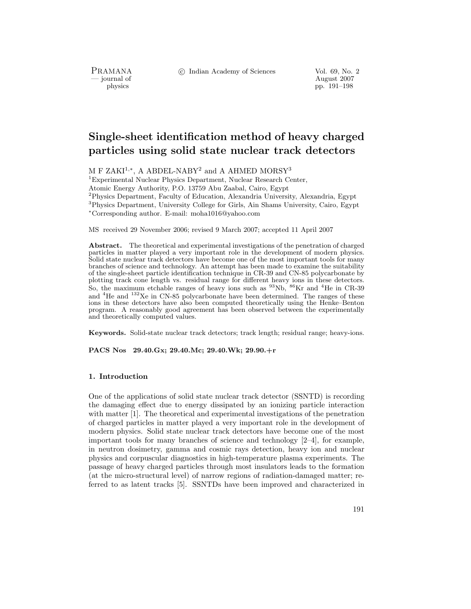PRAMANA<br>— journal of

c Indian Academy of Sciences Vol. 69, No. 2

urnal of August 2007<br>
physics physics population of August 2007<br>
pp. 191–198 pp. 191–198

# **Single-sheet identification method of heavy charged particles using solid state nuclear track detectors**

M F ZAKI<sup>1,∗</sup>, A ABDEL-NABY<sup>2</sup> and A AHMED MORSY<sup>3</sup>

<sup>1</sup>Experimental Nuclear Physics Department, Nuclear Research Center,

Atomic Energy Authority, P.O. 13759 Abu Zaabal, Cairo, Egypt

<sup>2</sup>Physics Department, Faculty of Education, Alexandria University, Alexandria, Egypt

<sup>3</sup>Physics Department, University College for Girls, Ain Shams University, Cairo, Egypt <sup>∗</sup>Corresponding author. E-mail: moha1016@yahoo.com

MS received 29 November 2006; revised 9 March 2007; accepted 11 April 2007

**Abstract.** The theoretical and experimental investigations of the penetration of charged particles in matter played a very important role in the development of modern physics. Solid state nuclear track detectors have become one of the most important tools for many branches of science and technology. An attempt has been made to examine the suitability of the single-sheet particle identification technique in CR-39 and CN-85 polycarbonate by plotting track cone length vs. residual range for different heavy ions in these detectors. So, the maximum etchable ranges of heavy ions such as  $^{93}Nb$ ,  $^{86}Kr$  and  $^{4}He$  in CR-39 and  ${}^{4}$ He and  ${}^{132}$ Xe in CN-85 polycarbonate have been determined. The ranges of these ions in these detectors have also been computed theoretically using the Henke–Benton program. A reasonably good agreement has been observed between the experimentally and theoretically computed values.

**Keywords.** Solid-state nuclear track detectors; track length; residual range; heavy-ions.

**PACS Nos 29.40.Gx; 29.40.Mc; 29.40.Wk; 29.90.+r**

# **1. Introduction**

One of the applications of solid state nuclear track detector (SSNTD) is recording the damaging effect due to energy dissipated by an ionizing particle interaction with matter [1]. The theoretical and experimental investigations of the penetration of charged particles in matter played a very important role in the development of modern physics. Solid state nuclear track detectors have become one of the most important tools for many branches of science and technology [2–4], for example, in neutron dosimetry, gamma and cosmic rays detection, heavy ion and nuclear physics and corpuscular diagnostics in high-temperature plasma experiments. The passage of heavy charged particles through most insulators leads to the formation (at the micro-structural level) of narrow regions of radiation-damaged matter; referred to as latent tracks [5]. SSNTDs have been improved and characterized in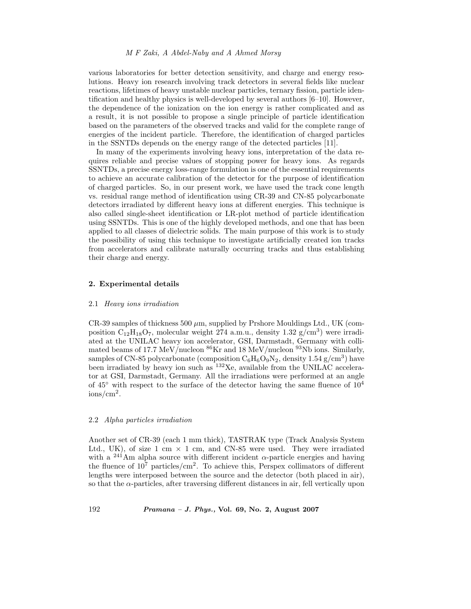## *M F Zaki, A Abdel-Naby and A Ahmed Morsy*

various laboratories for better detection sensitivity, and charge and energy resolutions. Heavy ion research involving track detectors in several fields like nuclear reactions, lifetimes of heavy unstable nuclear particles, ternary fission, particle identification and healthy physics is well-developed by several authors [6–10]. However, the dependence of the ionization on the ion energy is rather complicated and as a result, it is not possible to propose a single principle of particle identification based on the parameters of the observed tracks and valid for the complete range of energies of the incident particle. Therefore, the identification of charged particles in the SSNTDs depends on the energy range of the detected particles [11].

In many of the experiments involving heavy ions, interpretation of the data requires reliable and precise values of stopping power for heavy ions. As regards SSNTDs, a precise energy loss-range formulation is one of the essential requirements to achieve an accurate calibration of the detector for the purpose of identification of charged particles. So, in our present work, we have used the track cone length vs. residual range method of identification using CR-39 and CN-85 polycarbonate detectors irradiated by different heavy ions at different energies. This technique is also called single-sheet identification or LR-plot method of particle identification using SSNTDs. This is one of the highly developed methods, and one that has been applied to all classes of dielectric solids. The main purpose of this work is to study the possibility of using this technique to investigate artificially created ion tracks from accelerators and calibrate naturally occurring tracks and thus establishing their charge and energy.

# **2. Experimental details**

#### 2.1 *Heavy ions irradiation*

 $CR-39$  samples of thickness 500  $\mu$ m, supplied by Prshore Mouldings Ltd., UK (composition  $C_{12}H_{18}O_7$ , molecular weight 274 a.m.u., density 1.32 g/cm<sup>3</sup>) were irradiated at the UNILAC heavy ion accelerator, GSI, Darmstadt, Germany with collimated beams of 17.7 MeV/nucleon  ${}^{86}\text{Kr}$  and 18 MeV/nucleon  ${}^{93}\text{Nb}$  ions. Similarly, samples of CN-85 polycarbonate (composition  $C_6H_6O_9N_2$ , density 1.54 g/cm<sup>3</sup>) have been irradiated by heavy ion such as  $^{132}$ Xe, available from the UNILAC accelerator at GSI, Darmstadt, Germany. All the irradiations were performed at an angle of  $45^{\circ}$  with respect to the surface of the detector having the same fluence of  $10^4$ ions/cm<sup>2</sup>.

## 2.2 *Alpha particles irradiation*

Another set of CR-39 (each 1 mm thick), TASTRAK type (Track Analysis System Ltd., UK), of size 1 cm  $\times$  1 cm, and CN-85 were used. They were irradiated with a <sup>241</sup>Am alpha source with different incident  $\alpha$ -particle energies and having the fluence of  $10^7$  particles/cm<sup>2</sup>. To achieve this, Perspex collimators of different lengths were interposed between the source and the detector (both placed in air), so that the  $\alpha$ -particles, after traversing different distances in air, fell vertically upon

192 *Pramana – J. Phys.,* **Vol. 69, No. 2, August 2007**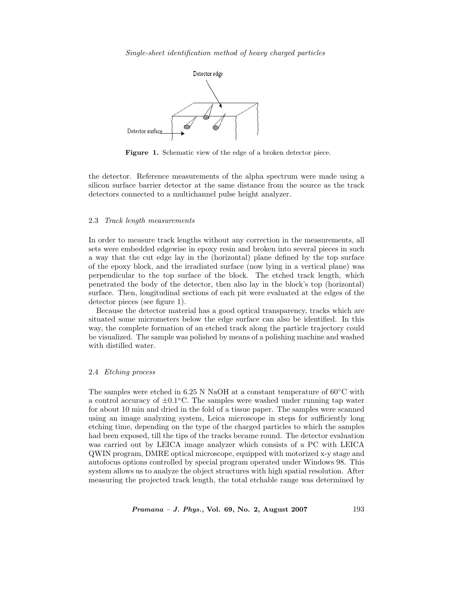

Figure 1. Schematic view of the edge of a broken detector piece.

the detector. Reference measurements of the alpha spectrum were made using a silicon surface barrier detector at the same distance from the source as the track detectors connected to a multichannel pulse height analyzer.

#### 2.3 *Track length measurements*

In order to measure track lengths without any correction in the measurements, all sets were embedded edgewise in epoxy resin and broken into several pieces in such a way that the cut edge lay in the (horizontal) plane defined by the top surface of the epoxy block, and the irradiated surface (now lying in a vertical plane) was perpendicular to the top surface of the block. The etched track length, which penetrated the body of the detector, then also lay in the block's top (horizontal) surface. Then, longitudinal sections of each pit were evaluated at the edges of the detector pieces (see figure 1).

Because the detector material has a good optical transparency, tracks which are situated some micrometers below the edge surface can also be identified. In this way, the complete formation of an etched track along the particle trajectory could be visualized. The sample was polished by means of a polishing machine and washed with distilled water.

## 2.4 *Etching process*

The samples were etched in 6.25 N NaOH at a constant temperature of  $60°C$  with a control accuracy of *±*0.1◦C. The samples were washed under running tap water for about 10 min and dried in the fold of a tissue paper. The samples were scanned using an image analyzing system, Leica microscope in steps for sufficiently long etching time, depending on the type of the charged particles to which the samples had been exposed, till the tips of the tracks became round. The detector evaluation was carried out by LEICA image analyzer which consists of a PC with LEICA QWIN program, DMRE optical microscope, equipped with motorized x-y stage and autofocus options controlled by special program operated under Windows 98. This system allows us to analyze the object structures with high spatial resolution. After measuring the projected track length, the total etchable range was determined by

*Pramana – J. Phys.,* **Vol. 69, No. 2, August 2007** 193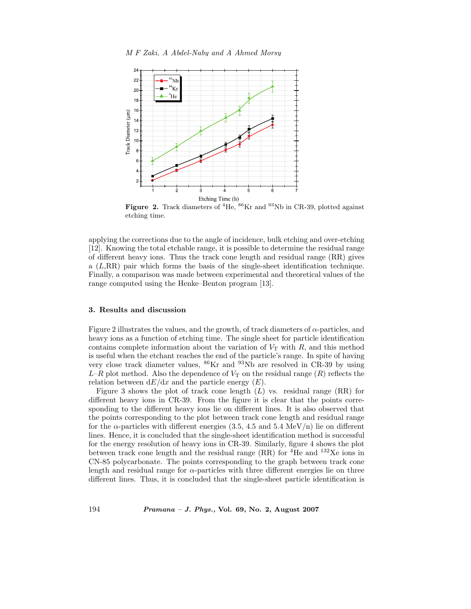

**Figure 2.** Track diameters of <sup>4</sup>He, <sup>86</sup>Kr and <sup>93</sup>Nb in CR-39, plotted against etching time.

applying the corrections due to the angle of incidence, bulk etching and over-etching [12]. Knowing the total etchable range, it is possible to determine the residual range of different heavy ions. Thus the track cone length and residual range (RR) gives a (L,RR) pair which forms the basis of the single-sheet identification technique. Finally, a comparison was made between experimental and theoretical values of the range computed using the Henke–Benton program [13].

## **3. Results and discussion**

Figure 2 illustrates the values, and the growth, of track diameters of  $\alpha$ -particles, and heavy ions as a function of etching time. The single sheet for particle identification contains complete information about the variation of  $V<sub>T</sub>$  with R, and this method is useful when the etchant reaches the end of the particle's range. In spite of having very close track diameter values, <sup>86</sup>Kr and <sup>93</sup>Nb are resolved in CR-39 by using  $L-R$  plot method. Also the dependence of  $V<sub>T</sub>$  on the residual range  $(R)$  reflects the relation between  $dE/dx$  and the particle energy  $(E)$ .

Figure 3 shows the plot of track cone length  $(L)$  vs. residual range  $(RR)$  for different heavy ions in CR-39. From the figure it is clear that the points corresponding to the different heavy ions lie on different lines. It is also observed that the points corresponding to the plot between track cone length and residual range for the  $\alpha$ -particles with different energies (3.5, 4.5 and 5.4 MeV/n) lie on different lines. Hence, it is concluded that the single-sheet identification method is successful for the energy resolution of heavy ions in CR-39. Similarly, figure 4 shows the plot between track cone length and the residual range  $(RR)$  for <sup>4</sup>He and <sup>132</sup>Xe ions in CN-85 polycarbonate. The points corresponding to the graph between track cone length and residual range for  $\alpha$ -particles with three different energies lie on three different lines. Thus, it is concluded that the single-sheet particle identification is

194 *Pramana – J. Phys.,* **Vol. 69, No. 2, August 2007**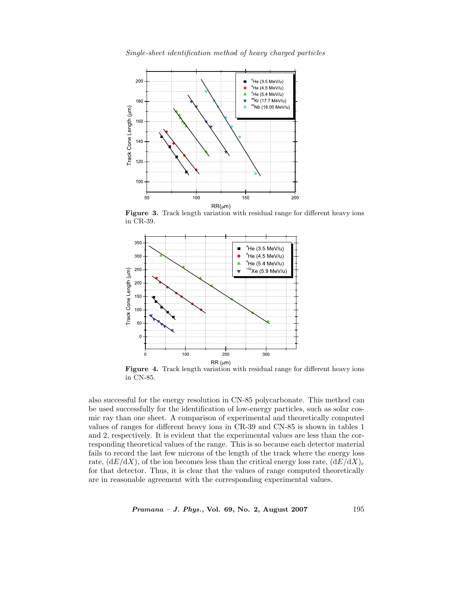

in CR-39.



**Figure 4.** Track length variation with residual range for different heavy ions in CN-85.

also successful for the energy resolution in CN-85 polycarbonate. This method can be used successfully for the identification of low-energy particles, such as solar cosmic ray than one sheet. A comparison of experimental and theoretically computed values of ranges for different heavy ions in CR-39 and CN-85 is shown in tables 1 and 2, respectively. It is evident that the experimental values are less than the corresponding theoretical values of the range. This is so because each detector material fails to record the last few microns of the length of the track where the energy loss rate,  $(dE/dX)$ , of the ion becomes less than the critical energy loss rate,  $(dE/dX)_{c}$ for that detector. Thus, it is clear that the values of range computed theoretically are in reasonable agreement with the corresponding experimental values.

*Pramana – J. Phys.,* **Vol. 69, No. 2, August 2007** 195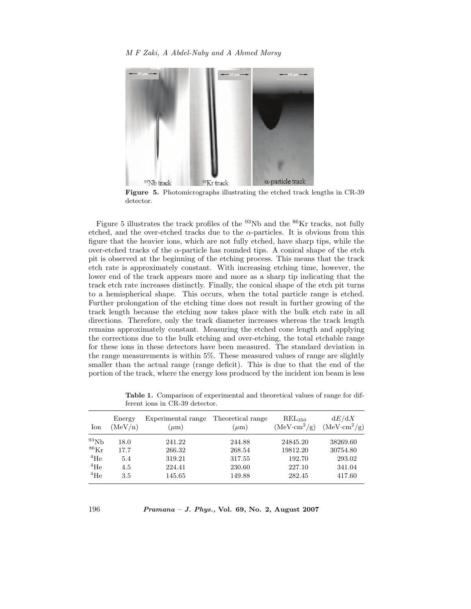# *M F Zaki, A Abdel-Naby and A Ahmed Morsy*



**Figure 5.** Photomicrographs illustrating the etched track lengths in CR-39 detector.

Figure 5 illustrates the track profiles of the  $93Nb$  and the  $86Kr$  tracks, not fully etched, and the over-etched tracks due to the  $\alpha$ -particles. It is obvious from this figure that the heavier ions, which are not fully etched, have sharp tips, while the over-etched tracks of the  $\alpha$ -particle has rounded tips. A conical shape of the etch pit is observed at the beginning of the etching process. This means that the track etch rate is approximately constant. With increasing etching time, however, the lower end of the track appears more and more as a sharp tip indicating that the track etch rate increases distinctly. Finally, the conical shape of the etch pit turns to a hemispherical shape. This occurs, when the total particle range is etched. Further prolongation of the etching time does not result in further growing of the track length because the etching now takes place with the bulk etch rate in all directions. Therefore, only the track diameter increases whereas the track length remains approximately constant. Measuring the etched cone length and applying the corrections due to the bulk etching and over-etching, the total etchable range for these ions in these detectors have been measured. The standard deviation in the range measurements is within 5%. These measured values of range are slightly smaller than the actual range (range deficit). This is due to that the end of the portion of the track, where the energy loss produced by the incident ion beam is less

| Ion                  | Energy  | Experimental range | Theoretical range | REL <sub>350</sub>   | dE/dX         |
|----------------------|---------|--------------------|-------------------|----------------------|---------------|
|                      | (MeV/n) | $(\mu m)$          | $(\mu m)$         | $(MeV \cdot cm^2/g)$ | $(MeVcm^2/g)$ |
| $^{93}Nb$            | 18.0    | 241.22             | 244.88            | 24845.20             | 38269.60      |
| ${}^{86}\mathrm{Kr}$ | 17.7    | 266.32             | 268.54            | 19812.20             | 30754.80      |
| $^{4}$ He            | 5.4     | 319.21             | 317.55            | 192.70               | 293.02        |
| $^{4}$ He            | 4.5     | 224.41             | 230.60            | 227.10               | 341.04        |
| $^{4}$ He            | $3.5\,$ | 145.65             | 149.88            | 282.45               | 417.60        |

**Table 1.** Comparison of experimental and theoretical values of range for different ions in CR-39 detector.

196 *Pramana – J. Phys.,* **Vol. 69, No. 2, August 2007**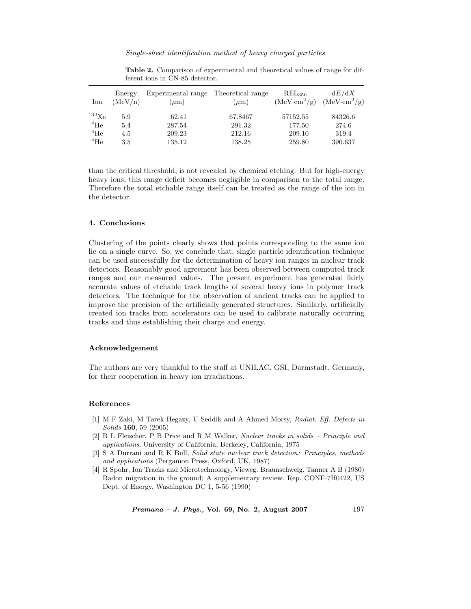| Ion               | Energy<br>(MeV/n) | Experimental range<br>$(\mu m)$ | Theoretical range<br>$(\mu m)$ | $REL_{350}$<br>$(MeV \cdot cm^2/g)$ | dE/dX<br>$(MeV \cdot cm^2/g)$ |
|-------------------|-------------------|---------------------------------|--------------------------------|-------------------------------------|-------------------------------|
| $^{132}\text{Xe}$ | 5.9               | 62.41                           | 67.8467                        | 57152.55                            | 84326.6                       |
| $^{4}$ He         | 5.4               | 287.54                          | 291.32                         | 177.50                              | 274.6                         |
| $^4 \mathrm{He}$  | 4.5               | 209.23                          | 212.16                         | 209.10                              | 319.4                         |
| $4\text{He}$      | 3.5               | 135.12                          | 138.25                         | 259.80                              | 390.637                       |

**Table 2.** Comparison of experimental and theoretical values of range for different ions in CN-85 detector.

than the critical threshold, is not revealed by chemical etching. But for high-energy heavy ions, this range deficit becomes negligible in comparison to the total range. Therefore the total etchable range itself can be treated as the range of the ion in the detector.

## **4. Conclusions**

Clustering of the points clearly shows that points corresponding to the same ion lie on a single curve. So, we conclude that, single particle identification technique can be used successfully for the determination of heavy ion ranges in nuclear track detectors. Reasonably good agreement has been observed between computed track ranges and our measured values. The present experiment has generated fairly accurate values of etchable track lengths of several heavy ions in polymer track detectors. The technique for the observation of ancient tracks can be applied to improve the precision of the artificially generated structures. Similarly, artificially created ion tracks from accelerators can be used to calibrate naturally occurring tracks and thus establishing their charge and energy.

## **Acknowledgement**

The authors are very thankful to the staff at UNILAC, GSI, Darmstadt, Germany, for their cooperation in heavy ion irradiations.

### **References**

- [1] M F Zaki, M Tarek Hegazy, U Seddik and A Ahmed Morsy, Radiat. Eff. Defects in Solids **160**, 59 (2005)
- [2] R L Fleischer, P B Price and R M Walker, Nuclear tracks in solids Principle and applications, University of California, Berkeley, California, 1975
- [3] S A Durrani and R K Bull, Solid state nuclear track detection: Principles, methods and applications (Pergamon Press, Oxford, UK, 1987)
- [4] R Spohr, Ion Tracks and Microtechnology, Vieweg. Braunschweig. Tanner A B (1980) Radon migration in the ground; A supplementary review. Rep. CONF-7H0422, US Dept. of Energy, Washington DC 1, 5-56 (1990)